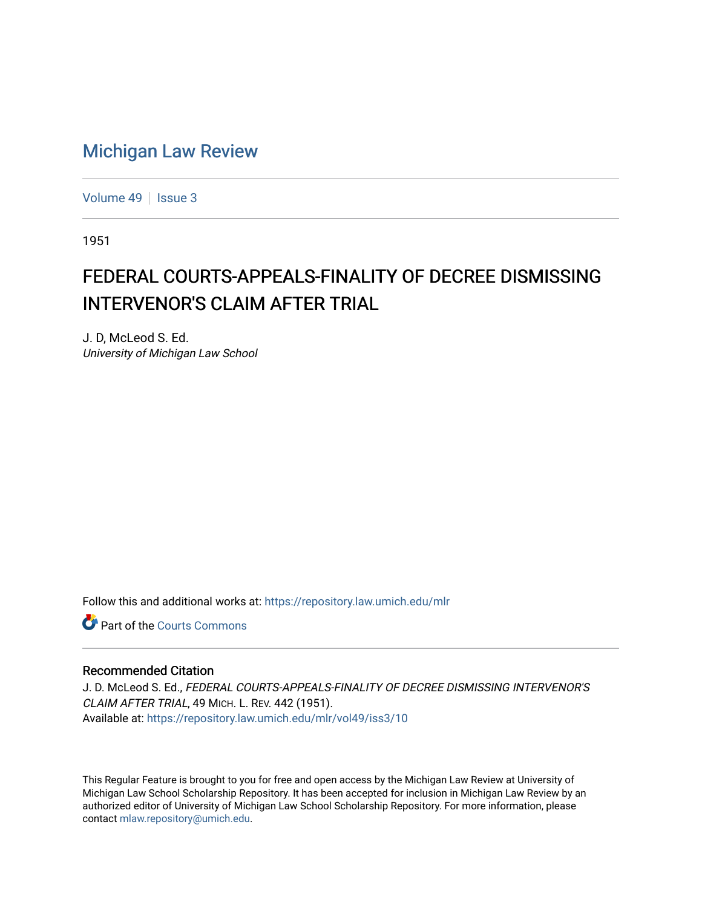## [Michigan Law Review](https://repository.law.umich.edu/mlr)

[Volume 49](https://repository.law.umich.edu/mlr/vol49) | [Issue 3](https://repository.law.umich.edu/mlr/vol49/iss3)

1951

## FEDERAL COURTS-APPEALS-FINALITY OF DECREE DISMISSING INTERVENOR'S CLAIM AFTER TRIAL

J. D, McLeod S. Ed. University of Michigan Law School

Follow this and additional works at: [https://repository.law.umich.edu/mlr](https://repository.law.umich.edu/mlr?utm_source=repository.law.umich.edu%2Fmlr%2Fvol49%2Fiss3%2F10&utm_medium=PDF&utm_campaign=PDFCoverPages) 

**C** Part of the Courts Commons

## Recommended Citation

J. D. McLeod S. Ed., FEDERAL COURTS-APPEALS-FINALITY OF DECREE DISMISSING INTERVENOR'S CLAIM AFTER TRIAL, 49 MICH. L. REV. 442 (1951). Available at: [https://repository.law.umich.edu/mlr/vol49/iss3/10](https://repository.law.umich.edu/mlr/vol49/iss3/10?utm_source=repository.law.umich.edu%2Fmlr%2Fvol49%2Fiss3%2F10&utm_medium=PDF&utm_campaign=PDFCoverPages) 

This Regular Feature is brought to you for free and open access by the Michigan Law Review at University of Michigan Law School Scholarship Repository. It has been accepted for inclusion in Michigan Law Review by an authorized editor of University of Michigan Law School Scholarship Repository. For more information, please contact [mlaw.repository@umich.edu](mailto:mlaw.repository@umich.edu).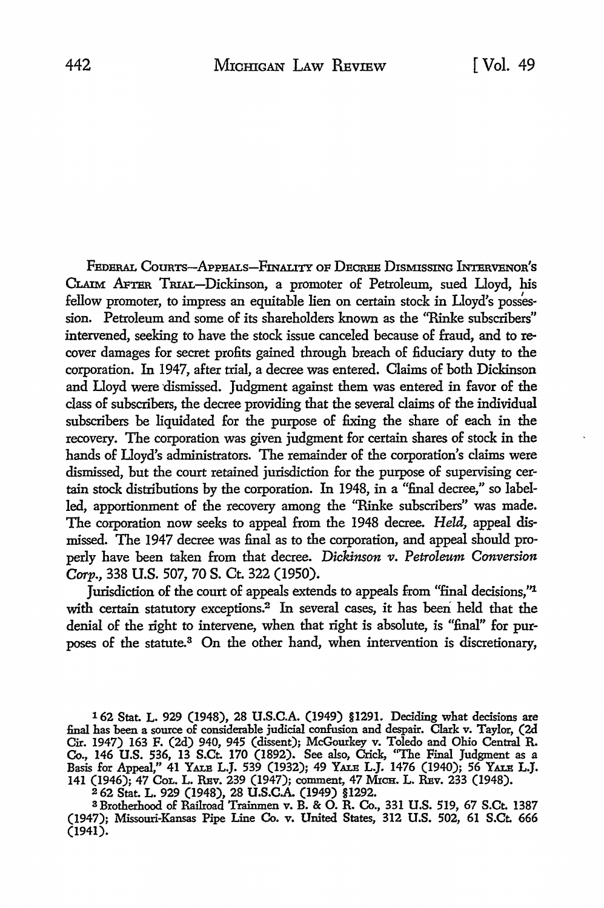FEDERAL COURTS-APPEALS-FINALITY OF DECREE DISMISSING INTERVENOR'S CLAIM APTER TRIAL-Dickinson, a promoter of Petroleum, sued Lloyd, his fellow promoter, to impress an equitable lien on certain stock in Lloyd's possession. Petroleum and some of its shareholders known as the ''Rinke subscribers" intervened, seeking to have the stock issue canceled because of fraud, and to recover damages for secret profits gained through breach of fiduciary duty to the corporation. In 1947, after trial, a decree was entered. Claims of both Dickinson and Lloyd were dismissed. Judgment against them was entered in favor of the class of subscribers, the decree providing that the several claims of the individual subscribers be liquidated for the purpose of fixing the share of each in the recovery. The corporation was given judgment for certain shares of stock in the hands of Lloyd's administrators. The remainder of the corporation's claims were dismissed, but the court retained jurisdiction for the purpose of supervising certain stock distributions by the corporation. In 1948, in a "final decree," so labelled, apportionment of the recovery among the "Rinke subscribers" was made. The corporation now seeks to appeal from the 1948 decree. *Held*, appeal dismissed. The 1947 decree was final as to the corporation, and appeal should properly have been taken from that decree. *Dickinson v. Petroleum Conversion Carp.,* 338 U.S. 507, 70 S. Ct. 322 (1950).

Jurisdiction of the court of appeals extends to appeals from "final decisions,"<sup>1</sup> with certain statutory exceptions.<sup>2</sup> In several cases, it has been held that the denial of the right to intervene, when that right is absolute, is "final" for purposes of the statute.3 On the other hand, when intervention is discretionary,

162 Stat. L. 929 (1948), 28 U.S.C.A. (1949) §1291. Deciding what decisions are fuiaJ. has 'been a somce o£ considerable judicial confusion and despair. Clark v. Taylor, (2d Cir. 1947) 163 F. (2d) 940, 945 (dissent); McGourkey v. Toledo and Ohio Centnl R. Co., 146 U.S. 536, 13 S.Ct. 170 (1892). See also, Crick, "The Fmal Judgment as a Basis for Appeal," 41 YALE L.J. 539 (1932); 49 YALE L.J. 1476 (1940); 56 YALE L.J. 141 (1946); 47 CoL. L. RBv. 239 (1947); comment, 47 MICH. L. RBv. 233 (1948).

2 62 Stat. L. 929 (1948), 28 U.S.C.A. (1949) §1292.<br>3 Brotherhood of Railroad Trainmen v. B. & O. R. Co., 331 U.S. 519, 67 S.Ct. 1387 (1947); Missouri-Kansas Pipe Line Co. v. United States, 312 U.S. 502, 61 S.Ct. 666 (1941).